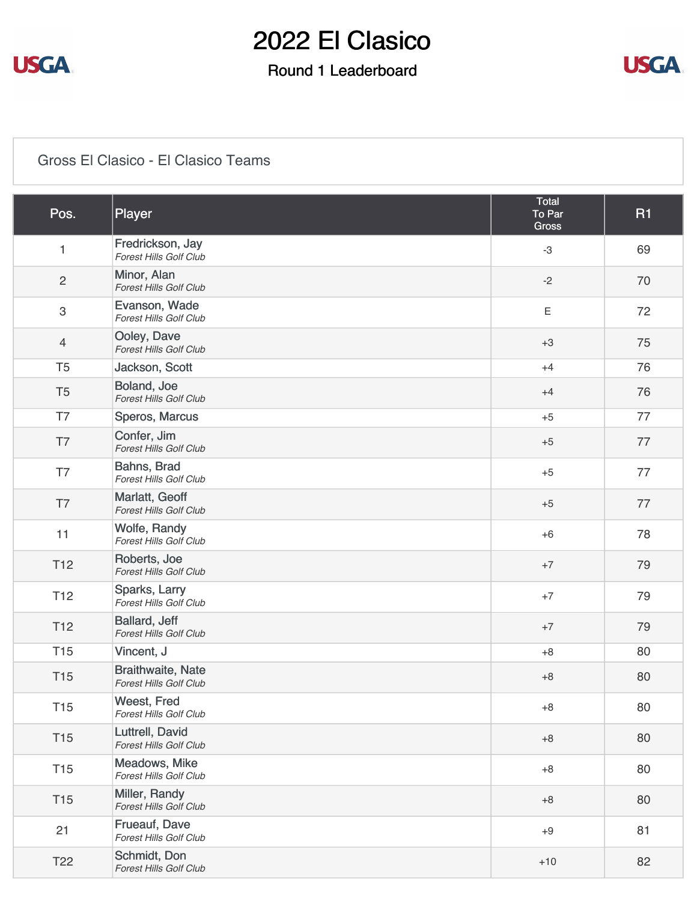

### Round 1 Leaderboard



#### [Gross El Clasico - El Clasico Teams](https://static.golfgenius.com/v2tournaments/8535726801916290904?called_from=&round_index=1)

| Pos.                      | Player                                                    | <b>Total</b><br>To Par<br><b>Gross</b> | <b>R1</b> |
|---------------------------|-----------------------------------------------------------|----------------------------------------|-----------|
| $\mathbf{1}$              | Fredrickson, Jay<br><b>Forest Hills Golf Club</b>         | $-3$                                   | 69        |
| $\overline{c}$            | Minor, Alan<br><b>Forest Hills Golf Club</b>              | $-2$                                   | 70        |
| $\ensuremath{\mathsf{3}}$ | Evanson, Wade<br><b>Forest Hills Golf Club</b>            | Ε                                      | 72        |
| $\overline{4}$            | Ooley, Dave<br><b>Forest Hills Golf Club</b>              | $+3$                                   | 75        |
| T <sub>5</sub>            | Jackson, Scott                                            | $+4$                                   | 76        |
| T <sub>5</sub>            | Boland, Joe<br>Forest Hills Golf Club                     | $+4$                                   | 76        |
| T7                        | Speros, Marcus                                            | $+5$                                   | 77        |
| T7                        | Confer, Jim<br><b>Forest Hills Golf Club</b>              | $+5$                                   | 77        |
| T7                        | Bahns, Brad<br><b>Forest Hills Golf Club</b>              | $+5$                                   | 77        |
| T7                        | Marlatt, Geoff<br><b>Forest Hills Golf Club</b>           | $+5$                                   | 77        |
| 11                        | Wolfe, Randy<br>Forest Hills Golf Club                    | $+6$                                   | 78        |
| T <sub>12</sub>           | Roberts, Joe<br><b>Forest Hills Golf Club</b>             | $+7$                                   | 79        |
| T <sub>12</sub>           | Sparks, Larry<br>Forest Hills Golf Club                   | $+7$                                   | 79        |
| T <sub>12</sub>           | Ballard, Jeff<br><b>Forest Hills Golf Club</b>            | $+7$                                   | 79        |
| <b>T15</b>                | Vincent, J                                                | $+8$                                   | 80        |
| <b>T15</b>                | <b>Braithwaite, Nate</b><br><b>Forest Hills Golf Club</b> | $+8$                                   | 80        |
| <b>T15</b>                | Weest, Fred<br><b>Forest Hills Golf Club</b>              | $+8$                                   | 80        |
| <b>T15</b>                | Luttrell, David<br><b>Forest Hills Golf Club</b>          | $+8$                                   | 80        |
| <b>T15</b>                | Meadows, Mike<br>Forest Hills Golf Club                   | $+8$                                   | 80        |
| T <sub>15</sub>           | Miller, Randy<br><b>Forest Hills Golf Club</b>            | $+8$                                   | 80        |
| 21                        | Frueauf, Dave<br>Forest Hills Golf Club                   | $+9$                                   | 81        |
| T <sub>22</sub>           | Schmidt, Don<br>Forest Hills Golf Club                    | $+10$                                  | 82        |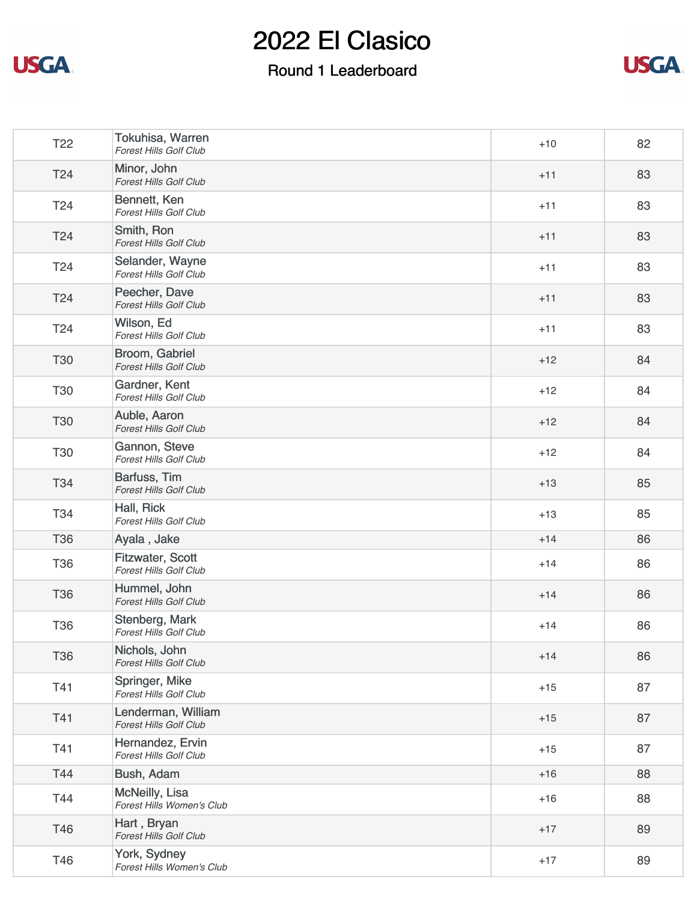



| T <sub>22</sub> | Tokuhisa, Warren<br><b>Forest Hills Golf Club</b>        | $+10$ | 82 |
|-----------------|----------------------------------------------------------|-------|----|
| T24             | Minor, John<br><b>Forest Hills Golf Club</b>             | $+11$ | 83 |
| T24             | Bennett, Ken<br><b>Forest Hills Golf Club</b>            | $+11$ | 83 |
| T <sub>24</sub> | Smith, Ron<br>Forest Hills Golf Club                     | $+11$ | 83 |
| T <sub>24</sub> | Selander, Wayne<br><b>Forest Hills Golf Club</b>         | $+11$ | 83 |
| T24             | Peecher, Dave<br><b>Forest Hills Golf Club</b>           | $+11$ | 83 |
| T <sub>24</sub> | Wilson, Ed<br>Forest Hills Golf Club                     | $+11$ | 83 |
| <b>T30</b>      | Broom, Gabriel<br><b>Forest Hills Golf Club</b>          | $+12$ | 84 |
| <b>T30</b>      | Gardner, Kent<br>Forest Hills Golf Club                  | $+12$ | 84 |
| <b>T30</b>      | Auble, Aaron<br><b>Forest Hills Golf Club</b>            | $+12$ | 84 |
| <b>T30</b>      | Gannon, Steve<br>Forest Hills Golf Club                  | $+12$ | 84 |
| T34             | Barfuss, Tim<br><b>Forest Hills Golf Club</b>            | $+13$ | 85 |
| T34             | Hall, Rick<br><b>Forest Hills Golf Club</b>              | $+13$ | 85 |
| <b>T36</b>      | Ayala, Jake                                              | $+14$ | 86 |
| <b>T36</b>      | <b>Fitzwater, Scott</b><br><b>Forest Hills Golf Club</b> | $+14$ | 86 |
| <b>T36</b>      | Hummel, John<br><b>Forest Hills Golf Club</b>            | $+14$ | 86 |
| <b>T36</b>      | Stenberg, Mark<br><b>Forest Hills Golf Club</b>          | $+14$ | 86 |
| <b>T36</b>      | Nichols, John<br><b>Forest Hills Golf Club</b>           | $+14$ | 86 |
| T41             | Springer, Mike<br>Forest Hills Golf Club                 | $+15$ | 87 |
| T41             | Lenderman, William<br>Forest Hills Golf Club             | $+15$ | 87 |
| T41             | Hernandez, Ervin<br><b>Forest Hills Golf Club</b>        | $+15$ | 87 |
| T44             | Bush, Adam                                               | $+16$ | 88 |
| T44             | McNeilly, Lisa<br>Forest Hills Women's Club              | $+16$ | 88 |
| T46             | Hart, Bryan<br>Forest Hills Golf Club                    | $+17$ | 89 |
| T46             | York, Sydney<br>Forest Hills Women's Club                | $+17$ | 89 |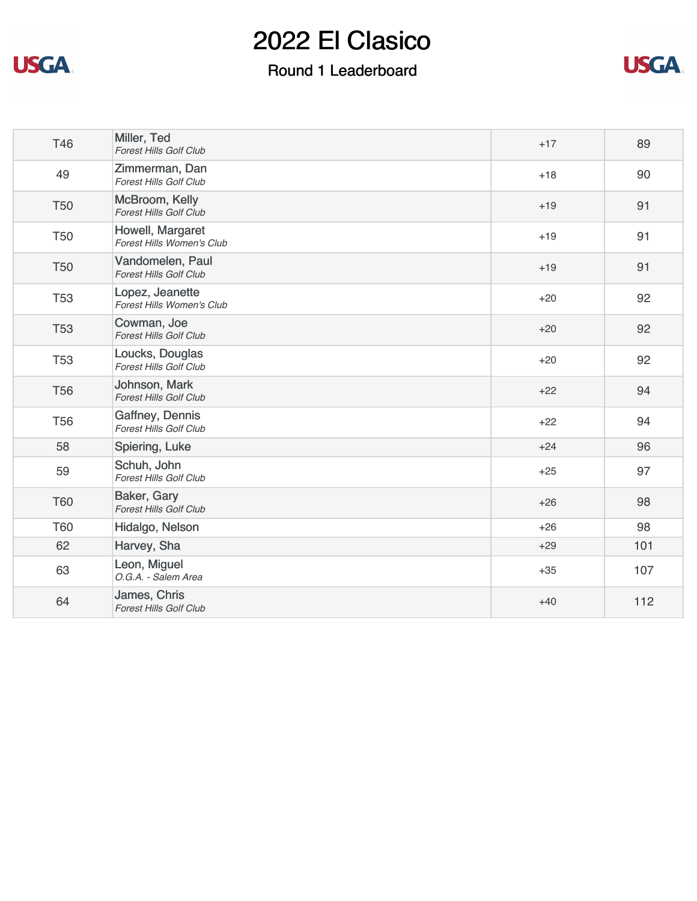



| T46        | Miller, Ted<br><b>Forest Hills Golf Club</b>      | $+17$ | 89  |
|------------|---------------------------------------------------|-------|-----|
| 49         | Zimmerman, Dan<br>Forest Hills Golf Club          | $+18$ | 90  |
| <b>T50</b> | McBroom, Kelly<br><b>Forest Hills Golf Club</b>   | $+19$ | 91  |
| <b>T50</b> | Howell, Margaret<br>Forest Hills Women's Club     | $+19$ | 91  |
| <b>T50</b> | Vandomelen, Paul<br><b>Forest Hills Golf Club</b> | $+19$ | 91  |
| <b>T53</b> | Lopez, Jeanette<br>Forest Hills Women's Club      | $+20$ | 92  |
| <b>T53</b> | Cowman, Joe<br><b>Forest Hills Golf Club</b>      | $+20$ | 92  |
| <b>T53</b> | Loucks, Douglas<br><b>Forest Hills Golf Club</b>  | $+20$ | 92  |
| <b>T56</b> | Johnson, Mark<br><b>Forest Hills Golf Club</b>    | $+22$ | 94  |
| <b>T56</b> | Gaffney, Dennis<br><b>Forest Hills Golf Club</b>  | $+22$ | 94  |
| 58         | Spiering, Luke                                    | $+24$ | 96  |
| 59         | Schuh, John<br><b>Forest Hills Golf Club</b>      | $+25$ | 97  |
| <b>T60</b> | Baker, Gary<br><b>Forest Hills Golf Club</b>      | $+26$ | 98  |
| <b>T60</b> | Hidalgo, Nelson                                   | $+26$ | 98  |
| 62         | Harvey, Sha                                       | $+29$ | 101 |
| 63         | Leon, Miguel<br>O.G.A. - Salem Area               | $+35$ | 107 |
| 64         | James, Chris<br><b>Forest Hills Golf Club</b>     | $+40$ | 112 |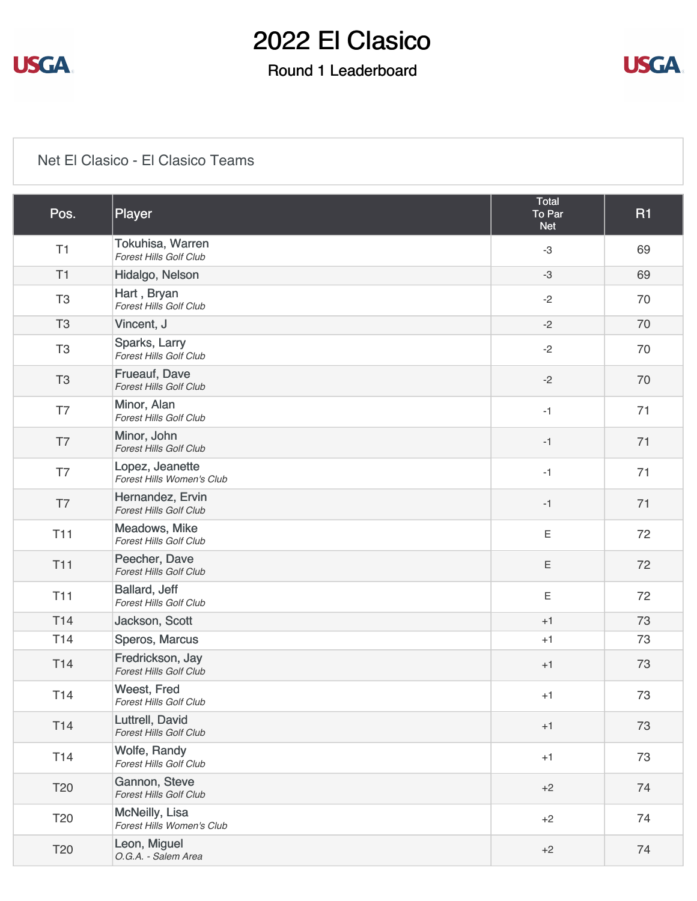

### Round 1 Leaderboard



#### [Net El Clasico - El Clasico Teams](https://static.golfgenius.com/v2tournaments/8535726810908878681?called_from=&round_index=1)

| Pos.            | Player                                            | Total<br>To Par<br><b>Net</b> | <b>R1</b> |
|-----------------|---------------------------------------------------|-------------------------------|-----------|
| T1              | Tokuhisa, Warren<br><b>Forest Hills Golf Club</b> | $-3$                          | 69        |
| T1              | Hidalgo, Nelson                                   | $-3$                          | 69        |
| T <sub>3</sub>  | Hart, Bryan<br>Forest Hills Golf Club             | $-2$                          | 70        |
| T <sub>3</sub>  | Vincent, J                                        | $-2$                          | 70        |
| T <sub>3</sub>  | Sparks, Larry<br><b>Forest Hills Golf Club</b>    | $-2$                          | 70        |
| T <sub>3</sub>  | Frueauf, Dave<br>Forest Hills Golf Club           | $-2$                          | 70        |
| T7              | Minor, Alan<br><b>Forest Hills Golf Club</b>      | $-1$                          | 71        |
| T7              | Minor, John<br><b>Forest Hills Golf Club</b>      | $-1$                          | 71        |
| T7              | Lopez, Jeanette<br>Forest Hills Women's Club      | $-1$                          | 71        |
| T7              | Hernandez, Ervin<br><b>Forest Hills Golf Club</b> | $-1$                          | 71        |
| <b>T11</b>      | Meadows, Mike<br><b>Forest Hills Golf Club</b>    | $\mathsf E$                   | 72        |
| <b>T11</b>      | Peecher, Dave<br><b>Forest Hills Golf Club</b>    | $\mathsf E$                   | 72        |
| <b>T11</b>      | Ballard, Jeff<br><b>Forest Hills Golf Club</b>    | $\mathsf E$                   | 72        |
| T <sub>14</sub> | Jackson, Scott                                    | $+1$                          | 73        |
| T14             | Speros, Marcus                                    | $+1$                          | 73        |
| T14             | Fredrickson, Jay<br><b>Forest Hills Golf Club</b> | $+1$                          | 73        |
| T14             | Weest, Fred<br>Forest Hills Golf Club             | $+1$                          | 73        |
| T14             | Luttrell, David<br>Forest Hills Golf Club         | $+1$                          | 73        |
| T14             | Wolfe, Randy<br>Forest Hills Golf Club            | $+1$                          | 73        |
| T <sub>20</sub> | Gannon, Steve<br>Forest Hills Golf Club           | $+2$                          | 74        |
| T <sub>20</sub> | McNeilly, Lisa<br>Forest Hills Women's Club       | $+2$                          | 74        |
| T20             | Leon, Miguel<br>O.G.A. - Salem Area               | $+2$                          | 74        |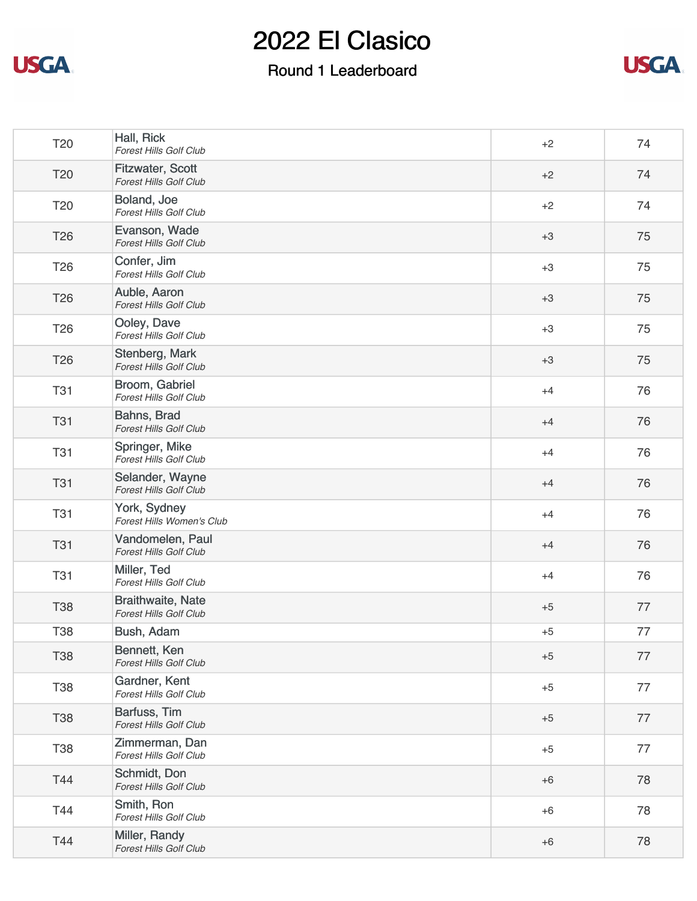



| Hall, Rick<br><b>Forest Hills Golf Club</b>               | $+2$ | 74 |
|-----------------------------------------------------------|------|----|
| <b>Fitzwater, Scott</b><br><b>Forest Hills Golf Club</b>  | $+2$ | 74 |
| Boland, Joe<br>Forest Hills Golf Club                     | $+2$ | 74 |
| Evanson, Wade<br><b>Forest Hills Golf Club</b>            | $+3$ | 75 |
| Confer, Jim<br><b>Forest Hills Golf Club</b>              | $+3$ | 75 |
| Auble, Aaron<br><b>Forest Hills Golf Club</b>             | $+3$ | 75 |
| Ooley, Dave<br>Forest Hills Golf Club                     | $+3$ | 75 |
| Stenberg, Mark<br><b>Forest Hills Golf Club</b>           | $+3$ | 75 |
| Broom, Gabriel<br><b>Forest Hills Golf Club</b>           | $+4$ | 76 |
| Bahns, Brad<br><b>Forest Hills Golf Club</b>              | $+4$ | 76 |
| Springer, Mike<br><b>Forest Hills Golf Club</b>           | $+4$ | 76 |
| Selander, Wayne<br><b>Forest Hills Golf Club</b>          | $+4$ | 76 |
| York, Sydney<br>Forest Hills Women's Club                 | $+4$ | 76 |
| Vandomelen, Paul<br>Forest Hills Golf Club                | $+4$ | 76 |
| Miller, Ted<br>Forest Hills Golf Club                     | $+4$ | 76 |
| <b>Braithwaite, Nate</b><br><b>Forest Hills Golf Club</b> | $+5$ | 77 |
| Bush, Adam                                                | $+5$ | 77 |
| Bennett, Ken<br>Forest Hills Golf Club                    | $+5$ | 77 |
| Gardner, Kent<br><b>Forest Hills Golf Club</b>            | $+5$ | 77 |
| Barfuss, Tim<br>Forest Hills Golf Club                    | $+5$ | 77 |
| Zimmerman, Dan<br>Forest Hills Golf Club                  | $+5$ | 77 |
| Schmidt, Don<br><b>Forest Hills Golf Club</b>             | $+6$ | 78 |
| Smith, Ron<br>Forest Hills Golf Club                      | $+6$ | 78 |
| Miller, Randy<br>Forest Hills Golf Club                   | $+6$ | 78 |
|                                                           |      |    |